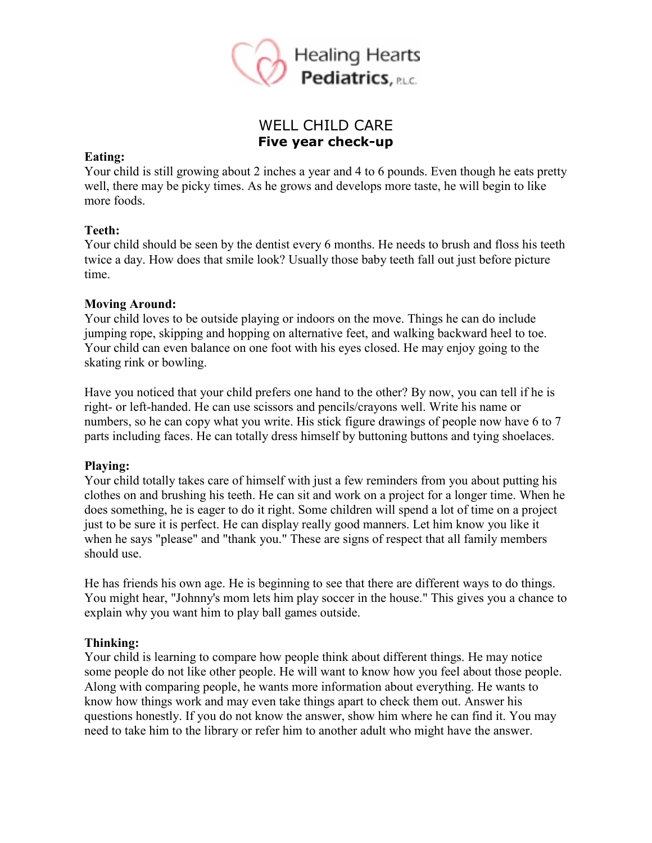

# WELL CHILD CARE **Five year check-up**

#### **Eating:**

Your child is still growing about 2 inches a year and 4 to 6 pounds. Even though he eats pretty well, there may be picky times. As he grows and develops more taste, he will begin to like more foods.

## **Teeth:**

Your child should be seen by the dentist every 6 months. He needs to brush and floss his teeth twice a day. How does that smile look? Usually those baby teeth fall out just before picture time.

## **Moving Around:**

Your child loves to be outside playing or indoors on the move. Things he can do include jumping rope, skipping and hopping on alternative feet, and walking backward heel to toe. Your child can even balance on one foot with his eyes closed. He may enjoy going to the skating rink or bowling.

Have you noticed that your child prefers one hand to the other? By now, you can tell if he is right- or left-handed. He can use scissors and pencils/crayons well. Write his name or numbers, so he can copy what you write. His stick figure drawings of people now have 6 to 7 parts including faces. He can totally dress himself by buttoning buttons and tying shoelaces.

## **Playing:**

Your child totally takes care of himself with just a few reminders from you about putting his clothes on and brushing his teeth. He can sit and work on a project for a longer time. When he does something, he is eager to do it right. Some children will spend a lot of time on a project just to be sure it is perfect. He can display really good manners. Let him know you like it when he says "please" and "thank you." These are signs of respect that all family members should use.

He has friends his own age. He is beginning to see that there are different ways to do things. You might hear, "Johnny's mom lets him play soccer in the house." This gives you a chance to explain why you want him to play ball games outside.

## **Thinking:**

Your child is learning to compare how people think about different things. He may notice some people do not like other people. He will want to know how you feel about those people. Along with comparing people, he wants more information about everything. He wants to know how things work and may even take things apart to check them out. Answer his questions honestly. If you do not know the answer, show him where he can find it. You may need to take him to the library or refer him to another adult who might have the answer.